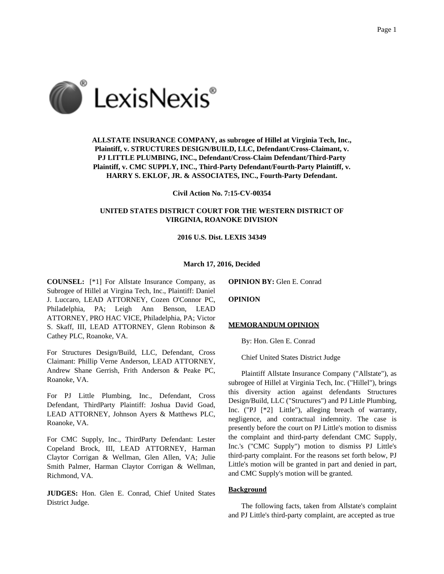

**ALLSTATE INSURANCE COMPANY, as subrogee of Hillel at Virginia Tech, Inc., Plaintiff, v. STRUCTURES DESIGN/BUILD, LLC, Defendant/Cross-Claimant, v. PJ LITTLE PLUMBING, INC., Defendant/Cross-Claim Defendant/Third-Party Plaintiff, v. CMC SUPPLY, INC., Third-Party Defendant/Fourth-Party Plaintiff, v. HARRY S. EKLOF, JR. & ASSOCIATES, INC., Fourth-Party Defendant.**

**Civil Action No. 7:15-CV-00354**

# **UNITED STATES DISTRICT COURT FOR THE WESTERN DISTRICT OF VIRGINIA, ROANOKE DIVISION**

#### **2016 U.S. Dist. LEXIS 34349**

#### **March 17, 2016, Decided**

**COUNSEL:** [\*1] For Allstate Insurance Company, as Subrogee of Hillel at Virgina Tech, Inc., Plaintiff: Daniel J. Luccaro, LEAD ATTORNEY, Cozen O'Connor PC, Philadelphia, PA; Leigh Ann Benson, LEAD ATTORNEY, PRO HAC VICE, Philadelphia, PA; Victor S. Skaff, III, LEAD ATTORNEY, Glenn Robinson & Cathey PLC, Roanoke, VA.

For Structures Design/Build, LLC, Defendant, Cross Claimant: Phillip Verne Anderson, LEAD ATTORNEY, Andrew Shane Gerrish, Frith Anderson & Peake PC, Roanoke, VA.

For PJ Little Plumbing, Inc., Defendant, Cross Defendant, ThirdParty Plaintiff: Joshua David Goad, LEAD ATTORNEY, Johnson Ayers & Matthews PLC, Roanoke, VA.

For CMC Supply, Inc., ThirdParty Defendant: Lester Copeland Brock, III, LEAD ATTORNEY, Harman Claytor Corrigan & Wellman, Glen Allen, VA; Julie Smith Palmer, Harman Claytor Corrigan & Wellman, Richmond, VA.

**JUDGES:** Hon. Glen E. Conrad, Chief United States District Judge.

**OPINION BY:** Glen E. Conrad

**OPINION**

#### **MEMORANDUM OPINION**

By: Hon. Glen E. Conrad

Chief United States District Judge

Plaintiff Allstate Insurance Company ("Allstate"), as subrogee of Hillel at Virginia Tech, Inc. ("Hillel"), brings this diversity action against defendants Structures Design/Build, LLC ("Structures") and PJ Little Plumbing, Inc. ("PJ [\*2] Little"), alleging breach of warranty, negligence, and contractual indemnity. The case is presently before the court on PJ Little's motion to dismiss the complaint and third-party defendant CMC Supply, Inc.'s ("CMC Supply") motion to dismiss PJ Little's third-party complaint. For the reasons set forth below, PJ Little's motion will be granted in part and denied in part, and CMC Supply's motion will be granted.

# **Background**

The following facts, taken from Allstate's complaint and PJ Little's third-party complaint, are accepted as true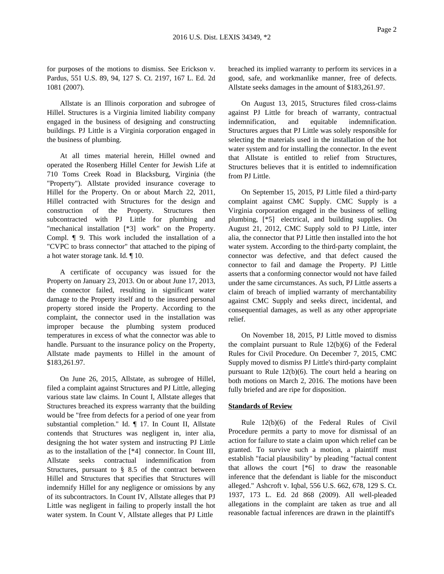for purposes of the motions to dismiss. See Erickson v. Pardus, 551 U.S. 89, 94, 127 S. Ct. 2197, 167 L. Ed. 2d 1081 (2007).

Allstate is an Illinois corporation and subrogee of Hillel. Structures is a Virginia limited liability company engaged in the business of designing and constructing buildings. PJ Little is a Virginia corporation engaged in the business of plumbing.

At all times material herein, Hillel owned and operated the Rosenberg Hillel Center for Jewish Life at 710 Toms Creek Road in Blacksburg, Virginia (the "Property"). Allstate provided insurance coverage to Hillel for the Property. On or about March 22, 2011, Hillel contracted with Structures for the design and construction of the Property. Structures then subcontracted with PJ Little for plumbing and "mechanical installation [\*3] work" on the Property. Compl. ¶ 9. This work included the installation of a "CVPC to brass connector" that attached to the piping of a hot water storage tank. Id. ¶ 10.

A certificate of occupancy was issued for the Property on January 23, 2013. On or about June 17, 2013, the connector failed, resulting in significant water damage to the Property itself and to the insured personal property stored inside the Property. According to the complaint, the connector used in the installation was improper because the plumbing system produced temperatures in excess of what the connector was able to handle. Pursuant to the insurance policy on the Property, Allstate made payments to Hillel in the amount of \$183,261.97.

On June 26, 2015, Allstate, as subrogee of Hillel, filed a complaint against Structures and PJ Little, alleging various state law claims. In Count I, Allstate alleges that Structures breached its express warranty that the building would be "free from defects for a period of one year from substantial completion." Id. ¶ 17. In Count II, Allstate contends that Structures was negligent in, inter alia, designing the hot water system and instructing PJ Little as to the installation of the [\*4] connector. In Count III, Allstate seeks contractual indemnification from Structures, pursuant to § 8.5 of the contract between Hillel and Structures that specifies that Structures will indemnify Hillel for any negligence or omissions by any of its subcontractors. In Count IV, Allstate alleges that PJ Little was negligent in failing to properly install the hot water system. In Count V, Allstate alleges that PJ Little

breached its implied warranty to perform its services in a good, safe, and workmanlike manner, free of defects. Allstate seeks damages in the amount of \$183,261.97.

On August 13, 2015, Structures filed cross-claims against PJ Little for breach of warranty, contractual indemnification, and equitable indemnification. Structures argues that PJ Little was solely responsible for selecting the materials used in the installation of the hot water system and for installing the connector. In the event that Allstate is entitled to relief from Structures, Structures believes that it is entitled to indemnification from PJ Little.

On September 15, 2015, PJ Little filed a third-party complaint against CMC Supply. CMC Supply is a Virginia corporation engaged in the business of selling plumbing, [\*5] electrical, and building supplies. On August 21, 2012, CMC Supply sold to PJ Little, inter alia, the connector that PJ Little then installed into the hot water system. According to the third-party complaint, the connector was defective, and that defect caused the connector to fail and damage the Property. PJ Little asserts that a conforming connector would not have failed under the same circumstances. As such, PJ Little asserts a claim of breach of implied warranty of merchantability against CMC Supply and seeks direct, incidental, and consequential damages, as well as any other appropriate relief.

On November 18, 2015, PJ Little moved to dismiss the complaint pursuant to Rule 12(b)(6) of the Federal Rules for Civil Procedure. On December 7, 2015, CMC Supply moved to dismiss PJ Little's third-party complaint pursuant to Rule 12(b)(6). The court held a hearing on both motions on March 2, 2016. The motions have been fully briefed and are ripe for disposition.

## **Standards of Review**

Rule 12(b)(6) of the Federal Rules of Civil Procedure permits a party to move for dismissal of an action for failure to state a claim upon which relief can be granted. To survive such a motion, a plaintiff must establish "facial plausibility" by pleading "factual content that allows the court [\*6] to draw the reasonable inference that the defendant is liable for the misconduct alleged." Ashcroft v. Iqbal, 556 U.S. 662, 678, 129 S. Ct. 1937, 173 L. Ed. 2d 868 (2009). All well-pleaded allegations in the complaint are taken as true and all reasonable factual inferences are drawn in the plaintiff's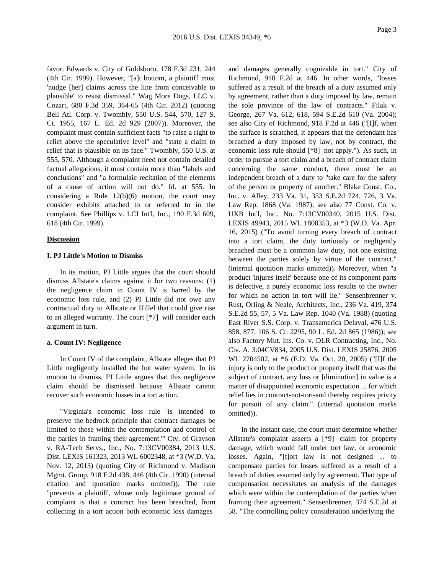favor. Edwards v. City of Goldsboro, 178 F.3d 231, 244 (4th Cir. 1999). However, "[a]t bottom, a plaintiff must 'nudge [her] claims across the line from conceivable to plausible' to resist dismissal." Wag More Dogs, LLC v. Cozart, 680 F.3d 359, 364-65 (4th Cir. 2012) (quoting Bell Atl. Corp. v. Twombly, 550 U.S. 544, 570, 127 S. Ct. 1955, 167 L. Ed. 2d 929 (2007)). Moreover, the complaint must contain sufficient facts "to raise a right to relief above the speculative level" and "state a claim to relief that is plausible on its face." Twombly, 550 U.S. at 555, 570. Although a complaint need not contain detailed factual allegations, it must contain more than "labels and conclusions" and "a formulaic recitation of the elements of a cause of action will not do." Id. at 555. In considering a Rule  $12(b)(6)$  motion, the court may consider exhibits attached to or referred to in the complaint. See Phillips v. LCI Int'l, Inc., 190 F.3d 609, 618 (4th Cir. 1999).

# **Discussion**

## **I. PJ Little's Motion to Dismiss**

In its motion, PJ Little argues that the court should dismiss Allstate's claims against it for two reasons: (1) the negligence claim in Count IV is barred by the economic loss rule, and (2) PJ Little did not owe any contractual duty to Allstate or Hillel that could give rise to an alleged warranty. The court [\*7] will consider each argument in turn.

## **a. Count IV: Negligence**

In Count IV of the complaint, Allstate alleges that PJ Little negligently installed the hot water system. In its motion to dismiss, PJ Little argues that this negligence claim should be dismissed because Allstate cannot recover such economic losses in a tort action.

"Virginia's economic loss rule 'is intended to preserve the bedrock principle that contract damages be limited to those within the contemplation and control of the parties in framing their agreement.'" Cty. of Grayson v. RA-Tech Servs., Inc., No. 7:13CV00384, 2013 U.S. Dist. LEXIS 161323, 2013 WL 6002348, at \*3 (W.D. Va. Nov. 12, 2013) (quoting City of Richmond v. Madison Mgmt. Group, 918 F.2d 438, 446 (4th Cir. 1990) (internal citation and quotation marks omitted)). The rule "prevents a plaintiff, whose only legitimate ground of complaint is that a contract has been breached, from collecting in a tort action both economic loss damages

and damages generally cognizable in tort." City of Richmond, 918 F.2d at 446. In other words, "losses suffered as a result of the breach of a duty assumed only by agreement, rather than a duty imposed by law, remain the sole province of the law of contracts." Filak v. George, 267 Va. 612, 618, 594 S.E.2d 610 (Va. 2004); see also City of Richmond, 918 F.2d at 446 ("[I]f, when the surface is scratched, it appears that the defendant has breached a duty imposed by law, not by contract, the economic loss rule should [\*8] not apply."). As such, in order to pursue a tort claim and a breach of contract claim concerning the same conduct, there must be an independent breach of a duty to "take care for the safety of the person or property of another." Blake Const. Co., Inc. v. Alley, 233 Va. 31, 353 S.E.2d 724, 726, 3 Va. Law Rep. 1868 (Va. 1987); see also 77 Const. Co. v. UXB Int'l, Inc., No. 7:13CV00340, 2015 U.S. Dist. LEXIS 49943, 2015 WL 1800353, at \*3 (W.D. Va. Apr. 16, 2015) ("To avoid turning every breach of contract into a tort claim, the duty tortiously or negligently breached must be a common law duty, not one existing between the parties solely by virtue of the contract." (internal quotation marks omitted)). Moreover, when "a product 'injures itself' because one of its component parts is defective, a purely economic loss results to the owner for which no action in tort will lie." Sensenbrenner v. Rust, Orling & Neale, Architects, Inc., 236 Va. 419, 374 S.E.2d 55, 57, 5 Va. Law Rep. 1040 (Va. 1988) (quoting East River S.S. Corp. v. Transamerica Delaval, 476 U.S. 858, 877, 106 S. Ct. 2295, 90 L. Ed. 2d 865 (1986)); see also Factory Mut. Ins. Co. v. DLR Contracting, Inc., No. Civ. A. 3:04CV834, 2005 U.S. Dist. LEXIS 25876, 2005 WL 2704502, at \*6 (E.D. Va. Oct. 20, 2005) ("[I]f the injury is only to the product or property itself that was the subject of contract, any loss or [diminution] in value is a matter of disappointed economic expectation ... for which relief lies in contract-not-tort-and thereby requires privity for pursuit of any claim." (internal quotation marks omitted)).

In the instant case, the court must determine whether Allstate's complaint asserts a [\*9] claim for property damage, which would fall under tort law, or economic losses. Again, "[t]ort law is not designed ... to compensate parties for losses suffered as a result of a breach of duties assumed only by agreement. That type of compensation necessitates an analysis of the damages which were within the contemplation of the parties when framing their agreement." Sensenbrenner, 374 S.E.2d at 58. "The controlling policy consideration underlying the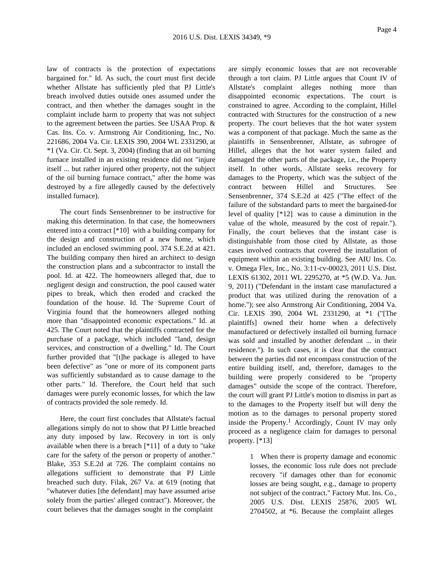law of contracts is the protection of expectations bargained for." Id. As such, the court must first decide whether Allstate has sufficiently pled that PJ Little's breach involved duties outside ones assumed under the contract, and then whether the damages sought in the complaint include harm to property that was not subject to the agreement between the parties. See USAA Prop. & Cas. Ins. Co. v. Armstrong Air Conditioning, Inc., No. 221686, 2004 Va. Cir. LEXIS 390, 2004 WL 2331290, at \*1 (Va. Cir. Ct. Sept. 3, 2004) (finding that an oil burning furnace installed in an existing residence did not "injure itself ... but rather injured other property, not the subject of the oil burning furnace contract," after the home was destroyed by a fire allegedly caused by the defectively installed furnace).

The court finds Sensenbrenner to be instructive for making this determination. In that case, the homeowners entered into a contract [\*10] with a building company for the design and construction of a new home, which included an enclosed swimming pool. 374 S.E.2d at 421. The building company then hired an architect to design the construction plans and a subcontractor to install the pool. Id. at 422. The homeowners alleged that, due to negligent design and construction, the pool caused water pipes to break, which then eroded and cracked the foundation of the house. Id. The Supreme Court of Virginia found that the homeowners alleged nothing more than "disappointed economic expectations." Id. at 425. The Court noted that the plaintiffs contracted for the purchase of a package, which included "land, design services, and construction of a dwelling." Id. The Court further provided that "[t]he package is alleged to have been defective" as "one or more of its component parts was sufficiently substandard as to cause damage to the other parts." Id. Therefore, the Court held that such damages were purely economic losses, for which the law of contracts provided the sole remedy. Id.

Here, the court first concludes that Allstate's factual allegations simply do not to show that PJ Little breached any duty imposed by law. Recovery in tort is only available when there is a breach [\*11] of a duty to "take care for the safety of the person or property of another." Blake, 353 S.E.2d at 726. The complaint contains no allegations sufficient to demonstrate that PJ Little breached such duty. Filak, 267 Va. at 619 (noting that "whatever duties [the defendant] may have assumed arise solely from the parties' alleged contract"). Moreover, the court believes that the damages sought in the complaint

are simply economic losses that are not recoverable through a tort claim. PJ Little argues that Count IV of Allstate's complaint alleges nothing more than disappointed economic expectations. The court is constrained to agree. According to the complaint, Hillel contracted with Structures for the construction of a new property. The court believes that the hot water system was a component of that package. Much the same as the plaintiffs in Sensenbrenner, Allstate, as subrogee of Hillel, alleges that the hot water system failed and damaged the other parts of the package, i.e., the Property itself. In other words, Allstate seeks recovery for damages to the Property, which was the subject of the contract between Hillel and Structures. See Sensenbrenner, 374 S.E.2d at 425 ("The effect of the failure of the substandard parts to meet the bargained-for level of quality [\*12] was to cause a diminution in the value of the whole, measured by the cost of repair."). Finally, the court believes that the instant case is distinguishable from those cited by Allstate, as those cases involved contracts that covered the installation of equipment within an existing building. See AIU Ins. Co. v. Omega Flex, Inc., No. 3:11-cv-00023, 2011 U.S. Dist. LEXIS 61302, 2011 WL 2295270, at \*5 (W.D. Va. Jun. 9, 2011) ("Defendant in the instant case manufactured a product that was utilized during the renovation of a home."); see also Armstrong Air Conditioning, 2004 Va. Cir. LEXIS 390, 2004 WL 2331290, at \*1 ("[The plaintiffs] owned their home when a defectively manufactured or defectively installed oil burning furnace was sold and installed by another defendant ... in their residence."). In such cases, it is clear that the contract between the parties did not encompass construction of the entire building itself, and, therefore, damages to the building were properly considered to be "property damages" outside the scope of the contract. Therefore, the court will grant PJ Little's motion to dismiss in part as to the damages to the Property itself but will deny the motion as to the damages to personal property stored inside the Property.<sup>1</sup> Accordingly, Count IV may only proceed as a negligence claim for damages to personal property. [\*13]

> 1 When there is property damage and economic losses, the economic loss rule does not preclude recovery "if damages other than for economic losses are being sought, e.g., damage to property not subject of the contract." Factory Mut. Ins. Co., 2005 U.S. Dist. LEXIS 25876, 2005 WL 2704502, at \*6. Because the complaint alleges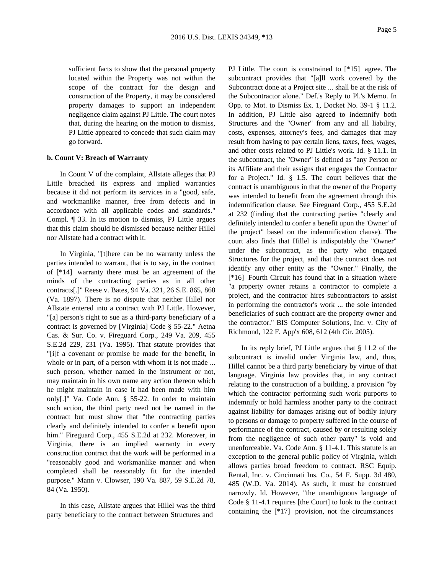sufficient facts to show that the personal property located within the Property was not within the scope of the contract for the design and construction of the Property, it may be considered property damages to support an independent negligence claim against PJ Little. The court notes that, during the hearing on the motion to dismiss, PJ Little appeared to concede that such claim may go forward.

# **b. Count V: Breach of Warranty**

In Count V of the complaint, Allstate alleges that PJ Little breached its express and implied warranties because it did not perform its services in a "good, safe, and workmanlike manner, free from defects and in accordance with all applicable codes and standards." Compl. ¶ 33. In its motion to dismiss, PJ Little argues that this claim should be dismissed because neither Hillel nor Allstate had a contract with it.

In Virginia, "[t]here can be no warranty unless the parties intended to warrant, that is to say, in the contract of [\*14] warranty there must be an agreement of the minds of the contracting parties as in all other contracts[.]" Reese v. Bates, 94 Va. 321, 26 S.E. 865, 868 (Va. 1897). There is no dispute that neither Hillel nor Allstate entered into a contract with PJ Little. However, "[a] person's right to sue as a third-party beneficiary of a contract is governed by [Virginia] Code § 55-22." Aetna Cas. & Sur. Co. v. Fireguard Corp., 249 Va. 209, 455 S.E.2d 229, 231 (Va. 1995). That statute provides that "[i]f a covenant or promise be made for the benefit, in whole or in part, of a person with whom it is not made ... such person, whether named in the instrument or not, may maintain in his own name any action thereon which he might maintain in case it had been made with him only[.]" Va. Code Ann. § 55-22. In order to maintain such action, the third party need not be named in the contract but must show that "the contracting parties clearly and definitely intended to confer a benefit upon him." Fireguard Corp., 455 S.E.2d at 232. Moreover, in Virginia, there is an implied warranty in every construction contract that the work will be performed in a "reasonably good and workmanlike manner and when completed shall be reasonably fit for the intended purpose." Mann v. Clowser, 190 Va. 887, 59 S.E.2d 78, 84 (Va. 1950).

In this case, Allstate argues that Hillel was the third party beneficiary to the contract between Structures and

PJ Little. The court is constrained to [\*15] agree. The subcontract provides that "[a]ll work covered by the Subcontract done at a Project site ... shall be at the risk of the Subcontractor alone." Def.'s Reply to Pl.'s Memo. In Opp. to Mot. to Dismiss Ex. 1, Docket No. 39-1 § 11.2. In addition, PJ Little also agreed to indemnify both Structures and the "Owner" from any and all liability, costs, expenses, attorney's fees, and damages that may result from having to pay certain liens, taxes, fees, wages, and other costs related to PJ Little's work. Id. § 11.1. In the subcontract, the "Owner" is defined as "any Person or its Affiliate and their assigns that engages the Contractor for a Project." Id. § 1.5. The court believes that the contract is unambiguous in that the owner of the Property was intended to benefit from the agreement through this indemnification clause. See Fireguard Corp., 455 S.E.2d at 232 (finding that the contracting parties "clearly and definitely intended to confer a benefit upon the 'Owner' of the project" based on the indemnification clause). The court also finds that Hillel is indisputably the "Owner" under the subcontract, as the party who engaged Structures for the project, and that the contract does not identify any other entity as the "Owner." Finally, the [\*16] Fourth Circuit has found that in a situation where "a property owner retains a contractor to complete a project, and the contractor hires subcontractors to assist in performing the contractor's work ... the sole intended beneficiaries of such contract are the property owner and the contractor." BIS Computer Solutions, Inc. v. City of Richmond, 122 F. App'x 608, 612 (4th Cir. 2005).

In its reply brief, PJ Little argues that § 11.2 of the subcontract is invalid under Virginia law, and, thus, Hillel cannot be a third party beneficiary by virtue of that language. Virginia law provides that, in any contract relating to the construction of a building, a provision "by which the contractor performing such work purports to indemnify or hold harmless another party to the contract against liability for damages arising out of bodily injury to persons or damage to property suffered in the course of performance of the contract, caused by or resulting solely from the negligence of such other party" is void and unenforceable. Va. Code Ann. § 11-4.1. This statute is an exception to the general public policy of Virginia, which allows parties broad freedom to contract. RSC Equip. Rental, Inc. v. Cincinnati Ins. Co., 54 F. Supp. 3d 480, 485 (W.D. Va. 2014). As such, it must be construed narrowly. Id. However, "the unambiguous language of Code § 11-4.1 requires [the Court] to look to the contract containing the [\*17] provision, not the circumstances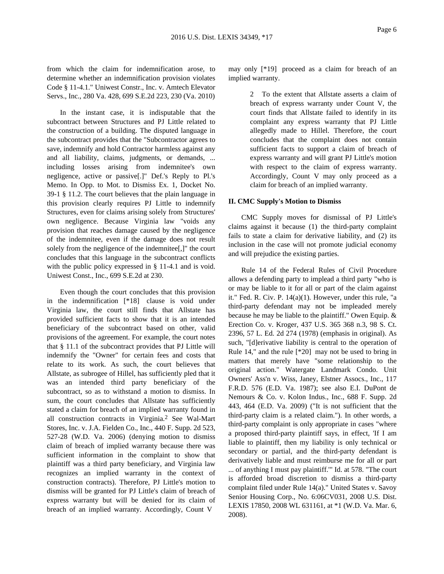from which the claim for indemnification arose, to determine whether an indemnification provision violates Code § 11-4.1." Uniwest Constr., Inc. v. Amtech Elevator Servs., Inc., 280 Va. 428, 699 S.E.2d 223, 230 (Va. 2010)

In the instant case, it is indisputable that the subcontract between Structures and PJ Little related to the construction of a building. The disputed language in the subcontract provides that the "Subcontractor agrees to save, indemnify and hold Contractor harmless against any and all liability, claims, judgments, or demands, ... including losses arising from indemnitee's own negligence, active or passive[.]" Def.'s Reply to Pl.'s Memo. In Opp. to Mot. to Dismiss Ex. 1, Docket No. 39-1 § 11.2. The court believes that the plain language in this provision clearly requires PJ Little to indemnify Structures, even for claims arising solely from Structures' own negligence. Because Virginia law "voids any provision that reaches damage caused by the negligence of the indemnitee, even if the damage does not result solely from the negligence of the indemnitee[,]" the court concludes that this language in the subcontract conflicts with the public policy expressed in § 11-4.1 and is void. Uniwest Const., Inc., 699 S.E.2d at 230.

Even though the court concludes that this provision in the indemnification [\*18] clause is void under Virginia law, the court still finds that Allstate has provided sufficient facts to show that it is an intended beneficiary of the subcontract based on other, valid provisions of the agreement. For example, the court notes that § 11.1 of the subcontract provides that PJ Little will indemnify the "Owner" for certain fees and costs that relate to its work. As such, the court believes that Allstate, as subrogee of Hillel, has sufficiently pled that it was an intended third party beneficiary of the subcontract, so as to withstand a motion to dismiss. In sum, the court concludes that Allstate has sufficiently stated a claim for breach of an implied warranty found in all construction contracts in Virginia.2 See Wal-Mart Stores, Inc. v. J.A. Fielden Co., Inc., 440 F. Supp. 2d 523, 527-28 (W.D. Va. 2006) (denying motion to dismiss claim of breach of implied warranty because there was sufficient information in the complaint to show that plaintiff was a third party beneficiary, and Virginia law recognizes an implied warranty in the context of construction contracts). Therefore, PJ Little's motion to dismiss will be granted for PJ Little's claim of breach of express warranty but will be denied for its claim of breach of an implied warranty. Accordingly, Count V

may only [\*19] proceed as a claim for breach of an implied warranty.

> 2 To the extent that Allstate asserts a claim of breach of express warranty under Count V, the court finds that Allstate failed to identify in its complaint any express warranty that PJ Little allegedly made to Hillel. Therefore, the court concludes that the complaint does not contain sufficient facts to support a claim of breach of express warranty and will grant PJ Little's motion with respect to the claim of express warranty. Accordingly, Count V may only proceed as a claim for breach of an implied warranty.

# **II. CMC Supply's Motion to Dismiss**

CMC Supply moves for dismissal of PJ Little's claims against it because (1) the third-party complaint fails to state a claim for derivative liability, and (2) its inclusion in the case will not promote judicial economy and will prejudice the existing parties.

Rule 14 of the Federal Rules of Civil Procedure allows a defending party to implead a third party "who is or may be liable to it for all or part of the claim against it." Fed. R. Civ. P. 14(a)(1). However, under this rule, "a third-party defendant may not be impleaded merely because he may be liable to the plaintiff." Owen Equip. & Erection Co. v. Kroger, 437 U.S. 365 368 n.3, 98 S. Ct. 2396, 57 L. Ed. 2d 274 (1978) (emphasis in original). As such, "[d]erivative liability is central to the operation of Rule 14," and the rule [\*20] may not be used to bring in matters that merely have "some relationship to the original action." Watergate Landmark Condo. Unit Owners' Ass'n v. Wiss, Janey, Elstner Assocs., Inc., 117 F.R.D. 576 (E.D. Va. 1987); see also E.I. DuPont de Nemours & Co. v. Kolon Indus., Inc., 688 F. Supp. 2d 443, 464 (E.D. Va. 2009) ("It is not sufficient that the third-party claim is a related claim."). In other words, a third-party complaint is only appropriate in cases "where a proposed third-party plaintiff says, in effect, 'If I am liable to plaintiff, then my liability is only technical or secondary or partial, and the third-party defendant is derivatively liable and must reimburse me for all or part ... of anything I must pay plaintiff.'" Id. at 578. "The court is afforded broad discretion to dismiss a third-party complaint filed under Rule 14(a)." United States v. Savoy Senior Housing Corp., No. 6:06CV031, 2008 U.S. Dist. LEXIS 17850, 2008 WL 631161, at \*1 (W.D. Va. Mar. 6, 2008).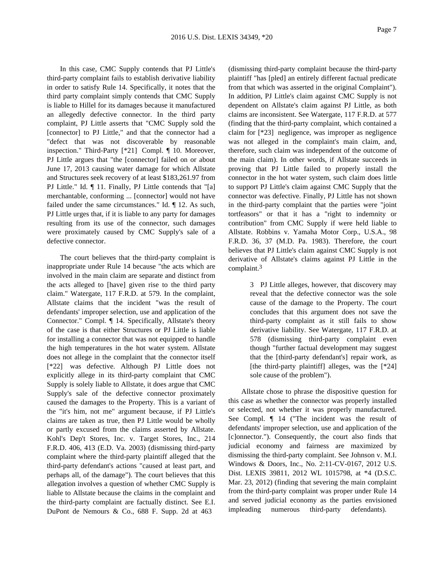In this case, CMC Supply contends that PJ Little's third-party complaint fails to establish derivative liability in order to satisfy Rule 14. Specifically, it notes that the third party complaint simply contends that CMC Supply is liable to Hillel for its damages because it manufactured an allegedly defective connector. In the third party complaint, PJ Little asserts that "CMC Supply sold the [connector] to PJ Little," and that the connector had a "defect that was not discoverable by reasonable inspection." Third-Party [\*21] Compl. ¶ 10. Moreover, PJ Little argues that "the [connector] failed on or about June 17, 2013 causing water damage for which Allstate and Structures seek recovery of at least \$183,261.97 from PJ Little." Id. ¶ 11. Finally, PJ Little contends that "[a] merchantable, conforming ... [connector] would not have failed under the same circumstances." Id. ¶ 12. As such, PJ Little urges that, if it is liable to any party for damages resulting from its use of the connector, such damages were proximately caused by CMC Supply's sale of a defective connector.

The court believes that the third-party complaint is inappropriate under Rule 14 because "the acts which are involved in the main claim are separate and distinct from the acts alleged to [have] given rise to the third party claim." Watergate, 117 F.R.D. at 579. In the complaint, Allstate claims that the incident "was the result of defendants' improper selection, use and application of the Connector." Compl. ¶ 14. Specifically, Allstate's theory of the case is that either Structures or PJ Little is liable for installing a connector that was not equipped to handle the high temperatures in the hot water system. Allstate does not allege in the complaint that the connector itself [\*22] was defective. Although PJ Little does not explicitly allege in its third-party complaint that CMC Supply is solely liable to Allstate, it does argue that CMC Supply's sale of the defective connector proximately caused the damages to the Property. This is a variant of the "it's him, not me" argument because, if PJ Little's claims are taken as true, then PJ Little would be wholly or partly excused from the claims asserted by Allstate. Kohl's Dep't Stores, Inc. v. Target Stores, Inc., 214 F.R.D. 406, 413 (E.D. Va. 2003) (dismissing third-party complaint where the third-party plaintiff alleged that the third-party defendant's actions "caused at least part, and perhaps all, of the damage"). The court believes that this allegation involves a question of whether CMC Supply is liable to Allstate because the claims in the complaint and the third-party complaint are factually distinct. See E.I. DuPont de Nemours & Co., 688 F. Supp. 2d at 463

(dismissing third-party complaint because the third-party plaintiff "has [pled] an entirely different factual predicate from that which was asserted in the original Complaint"). In addition, PJ Little's claim against CMC Supply is not dependent on Allstate's claim against PJ Little, as both claims are inconsistent. See Watergate, 117 F.R.D. at 577 (finding that the third-party complaint, which contained a claim for [\*23] negligence, was improper as negligence was not alleged in the complaint's main claim, and, therefore, such claim was independent of the outcome of the main claim). In other words, if Allstate succeeds in proving that PJ Little failed to properly install the connector in the hot water system, such claim does little to support PJ Little's claim against CMC Supply that the connector was defective. Finally, PJ Little has not shown in the third-party complaint that the parties were "joint tortfeasors" or that it has a "right to indemnity or contribution" from CMC Supply if were held liable to Allstate. Robbins v. Yamaha Motor Corp., U.S.A., 98 F.R.D. 36, 37 (M.D. Pa. 1983). Therefore, the court believes that PJ Little's claim against CMC Supply is not derivative of Allstate's claims against PJ Little in the complaint.3

> 3 PJ Little alleges, however, that discovery may reveal that the defective connector was the sole cause of the damage to the Property. The court concludes that this argument does not save the third-party complaint as it still fails to show derivative liability. See Watergate, 117 F.R.D. at 578 (dismissing third-party complaint even though "further factual development may suggest that the [third-party defendant's] repair work, as [the third-party plaintiff] alleges, was the [\*24] sole cause of the problem").

Allstate chose to phrase the dispositive question for this case as whether the connector was properly installed or selected, not whether it was properly manufactured. See Compl. ¶ 14 ("The incident was the result of defendants' improper selection, use and application of the [c]onnector."). Consequently, the court also finds that judicial economy and fairness are maximized by dismissing the third-party complaint. See Johnson v. M.I. Windows & Doors, Inc., No. 2:11-CV-0167, 2012 U.S. Dist. LEXIS 39811, 2012 WL 1015798, at \*4 (D.S.C. Mar. 23, 2012) (finding that severing the main complaint from the third-party complaint was proper under Rule 14 and served judicial economy as the parties envisioned impleading numerous third-party defendants).